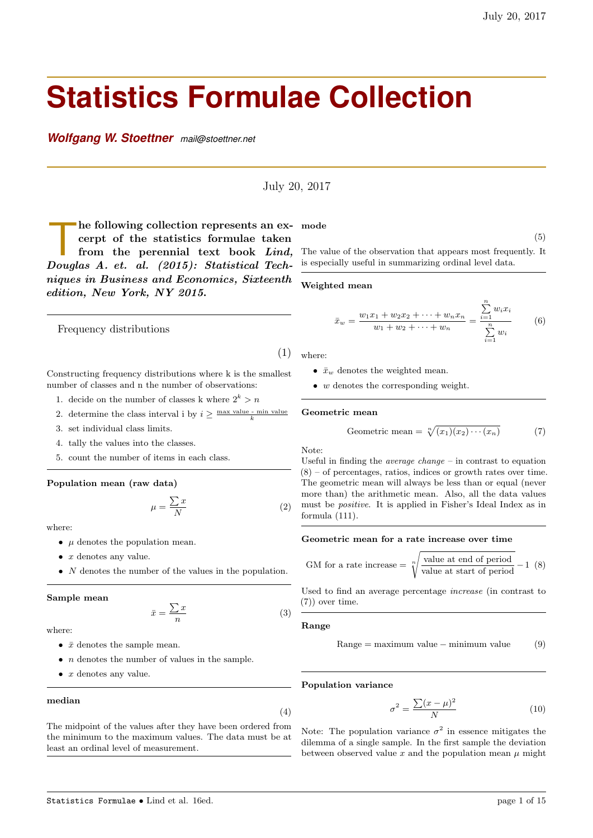# **Statistics Formulae Collection**

*Wolfgang W. Stoettner mail@stoettner.net*

July 20, 2017

he following collection represents an excerpt of the statistics formulae taken<br>from the perennial text book Lind,<br>Douglas A. et. al. (2015): Statistical Techhe following collection represents an excerpt of the statistics formulae taken from the perennial text book Lind, niques in Business and Economics, Sixteenth edition, New York, NY 2015.

Frequency distributions

(1)

- Constructing frequency distributions where k is the smallest number of classes and n the number of observations:
	- 1. decide on the number of classes k where  $2^k > n$
	- 2. determine the class interval i by  $i \geq \frac{\max \text{ value min value}}{k}$
	- 3. set individual class limits.
	- 4. tally the values into the classes.
	- 5. count the number of items in each class.

## Population mean (raw data)

$$
\mu = \frac{\sum x}{N} \tag{2}
$$

where:

- $\mu$  denotes the population mean.
- $\bullet$  *x* denotes any value.
- $N$  denotes the number of the values in the population.

#### Sample mean

$$
\bar{x} = \frac{\sum x}{n} \tag{3}
$$

where:

- $\bar{x}$  denotes the sample mean.
- $\bullet$  *n* denotes the number of values in the sample.
- $\bullet$  *x* denotes any value.

#### median

(4)

The midpoint of the values after they have been ordered from the minimum to the maximum values. The data must be at least an ordinal level of measurement.

mode

 $\overline{p}$ 

(5)

The value of the observation that appears most frequently. It is especially useful in summarizing ordinal level data.

#### Weighted mean

$$
\bar{x}_w = \frac{w_1 x_1 + w_2 x_2 + \dots + w_n x_n}{w_1 + w_2 + \dots + w_n} = \frac{\sum_{i=1} w_i x_i}{\sum_{i=1}^n w_i} \tag{6}
$$

where:

- $\bar{x}_w$  denotes the weighted mean.
- $\bullet$  *w* denotes the corresponding weight.

#### Geometric mean

Geometric mean = 
$$
\sqrt[n]{(x_1)(x_2)\cdots(x_n)}
$$
 (7)

Note:

Useful in finding the *average change –* in contrast to equation  $(8)$  – of percentages, ratios, indices or growth rates over time. The geometric mean will always be less than or equal (never more than) the arithmetic mean. Also, all the data values must be positive. It is applied in Fisher's Ideal Index as in formula (111).

## Geometric mean for a rate increase over time

GM for a rate increase = 
$$
\sqrt[n]{\frac{\text{value at end of period}}{\text{value at start of period}}} - 1
$$
 (8)

Used to find an average percentage increase (in contrast to (7)) over time.

#### Range

$$
Range = maximum value - minimum value \qquad (9)
$$

Population variance

$$
\sigma^2 = \frac{\sum (x - \mu)^2}{N} \tag{10}
$$

Note: The population variance  $\sigma^2$  in essence mitigates the dilemma of a single sample. In the first sample the deviation between observed value  $x$  and the population mean  $\mu$  might

Statistics Formulae • Lind et al. 16ed. page 1 of 15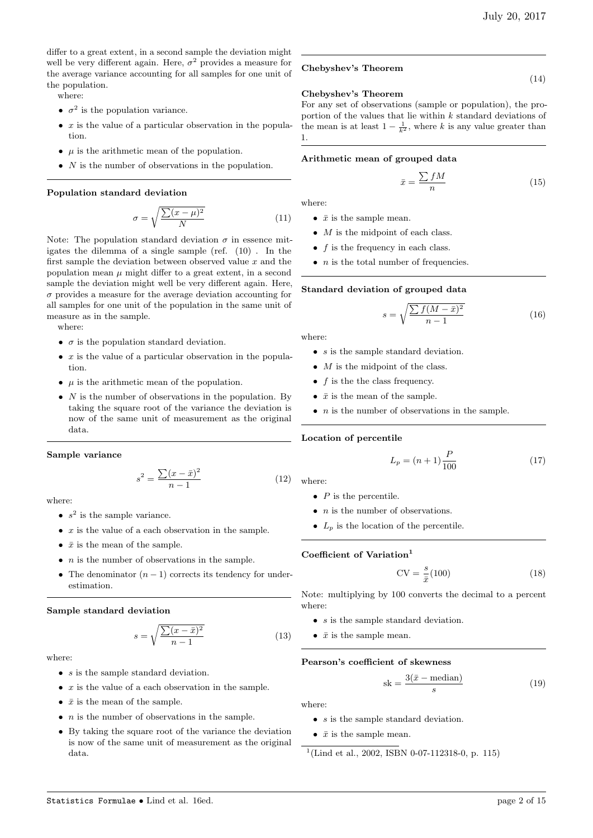(14)

differ to a great extent, in a second sample the deviation might well be very different again. Here,  $\sigma^2$  provides a measure for the average variance accounting for all samples for one unit of the population.

where:

- $\sigma^2$  is the population variance.
- $\bullet$  x is the value of a particular observation in the population.
- $\mu$  is the arithmetic mean of the population.
- $N$  is the number of observations in the population.

#### Population standard deviation

$$
\sigma = \sqrt{\frac{\sum (x - \mu)^2}{N}} \tag{11}
$$

Note: The population standard deviation  $\sigma$  in essence mitigates the dilemma of a single sample (ref. (10) . In the first sample the deviation between observed value  $x$  and the population mean  $\mu$  might differ to a great extent, in a second sample the deviation might well be very different again. Here,  $\sigma$  provides a measure for the average deviation accounting for all samples for one unit of the population in the same unit of measure as in the sample.

where:

- $\sigma$  is the population standard deviation.
- $x$  is the value of a particular observation in the population.
- $\mu$  is the arithmetic mean of the population.
- $N$  is the number of observations in the population. By taking the square root of the variance the deviation is now of the same unit of measurement as the original data.

#### Sample variance

$$
s^{2} = \frac{\sum (x - \bar{x})^{2}}{n - 1}
$$
 (12)

where:

- $s^2$  is the sample variance.
- $x$  is the value of a each observation in the sample.
- $\bar{x}$  is the mean of the sample.
- $\bullet$  *n* is the number of observations in the sample.
- The denominator  $(n-1)$  corrects its tendency for underestimation.

Sample standard deviation

$$
s = \sqrt{\frac{\sum (x - \bar{x})^2}{n - 1}}\tag{13}
$$

where:

- $s$  is the sample standard deviation.
- $x$  is the value of a each observation in the sample.
- $\bar{x}$  is the mean of the sample.
- $\bullet$  *n* is the number of observations in the sample.
- By taking the square root of the variance the deviation is now of the same unit of measurement as the original data.

#### Chebyshev's Theorem

#### Chebyshev's Theorem

For any set of observations (sample or population), the proportion of the values that lie within  $k$  standard deviations of the mean is at least  $1 - \frac{1}{k^2}$ , where k is any value greater than 1.

#### Arithmetic mean of grouped data

$$
\bar{x} = \frac{\sum fM}{n} \tag{15}
$$

where:

- $\bar{x}$  is the sample mean.
- $\bullet$  *M* is the midpoint of each class.
- $f$  is the frequency in each class.
- $\bullet$  *n* is the total number of frequencies.

#### Standard deviation of grouped data

$$
s = \sqrt{\frac{\sum f(M - \bar{x})^2}{n - 1}}\tag{16}
$$

where:

- *s* is the sample standard deviation.
- $\bullet$  *M* is the midpoint of the class.
- $f$  is the the class frequency.
- $\bar{x}$  is the mean of the sample.
- $\bullet$  *n* is the number of observations in the sample.

Location of percentile

$$
L_p = (n+1)\frac{P}{100} \tag{17}
$$

where:

- $P$  is the percentile.
- $\bullet$  *n* is the number of observations.
- $L_p$  is the location of the percentile.

# Coefficient of Variation<sup>1</sup>

$$
CV = \frac{s}{\bar{x}}(100)
$$
\n(18)

Note: multiplying by 100 converts the decimal to a percent where:

- $s$  is the sample standard deviation.
- $\bar{x}$  is the sample mean.

#### Pearson's coefficient of skewness

$$
sk = \frac{3(\bar{x} - \text{median})}{s} \tag{19}
$$

- $s$  is the sample standard deviation.
- $\bar{x}$  is the sample mean.
- 1 (Lind et al., 2002, ISBN 0-07-112318-0, p. 115)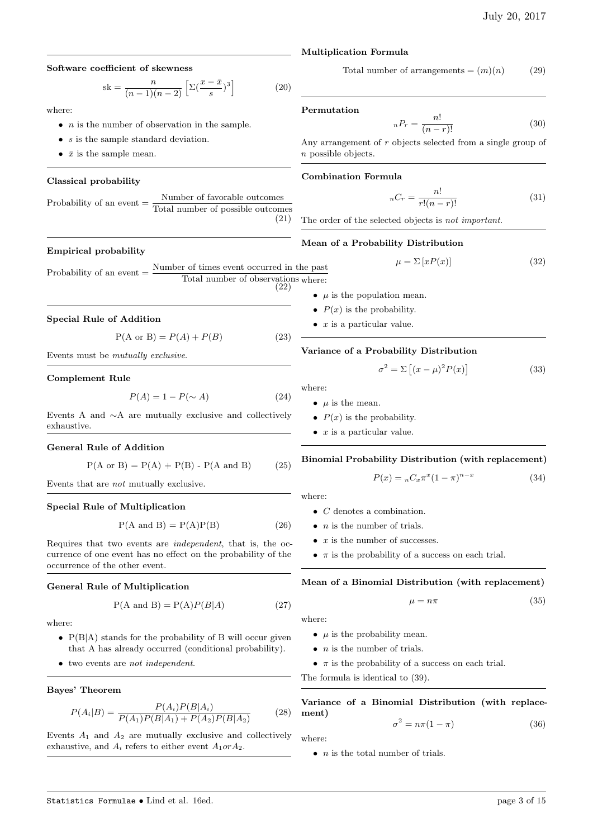#### Software coefficient of skewness

$$
sk = \frac{n}{(n-1)(n-2)} \left[ \Sigma \left( \frac{x - \bar{x}}{s} \right)^3 \right] \tag{20}
$$

where:

- $\bullet$  *n* is the number of observation in the sample.
- $s$  is the sample standard deviation.
- $\bar{x}$  is the sample mean.

#### Classical probability

| Probability of an event $=$ | Number of favorable outcomes      |
|-----------------------------|-----------------------------------|
|                             | Total number of possible outcomes |
|                             | (21)                              |

#### Empirical probability

Probability of an event  $=$   $\frac{\text{Number of times event occurred in the past}}{\text{Number of times event}}$ Total number of observations where:  $(22)$ 

# Special Rule of Addition

 $P(A \text{ or } B) = P(A) + P(B)$  (23)

Events must be mutually exclusive.

#### Complement Rule

$$
P(A) = 1 - P(\sim A)
$$
 (24)

Events A and ∼A are mutually exclusive and collectively exhaustive.

#### General Rule of Addition

$$
P(A \text{ or } B) = P(A) + P(B) - P(A \text{ and } B)
$$
 (25)

Events that are not mutually exclusive.

#### Special Rule of Multiplication

$$
P(A \text{ and } B) = P(A)P(B) \tag{26}
$$

Requires that two events are independent, that is, the occurrence of one event has no effect on the probability of the occurrence of the other event.

#### General Rule of Multiplication

$$
P(A \text{ and } B) = P(A)P(B|A)
$$
 (27)

where:

- P(B|A) stands for the probability of B will occur given that A has already occurred (conditional probability).
- two events are not independent.

# Bayes' Theorem

$$
P(A_i|B) = \frac{P(A_i)P(B|A_i)}{P(A_1)P(B|A_1) + P(A_2)P(B|A_2)}
$$
(28)

Events  $A_1$  and  $A_2$  are mutually exclusive and collectively exhaustive, and  $A_i$  refers to either event  $A_1 \text{ or } A_2$ .

#### Multiplication Formula

Total number of arrangements  $=(m)(n)$  (29)

#### Permutation

$$
{}_{n}P_{r} = \frac{n!}{(n-r)!} \tag{30}
$$

Any arrangement of r objects selected from a single group of n possible objects.

#### Combination Formula

 $_{n}C_{r} = \frac{n!}{r!(n-r)!}$  (31)

The order of the selected objects is not important.

# Mean of a Probability Distribution

$$
\mu = \Sigma \left[ xP(x) \right] \tag{32}
$$

- $\mu$  is the population mean.
- $P(x)$  is the probability.
- $\bullet$  x is a particular value.

#### Variance of a Probability Distribution

$$
\sigma^2 = \Sigma \left[ (x - \mu)^2 P(x) \right] \tag{33}
$$

where:

- $\mu$  is the mean.
- $P(x)$  is the probability.
- $\bullet$  x is a particular value.

#### Binomial Probability Distribution (with replacement)

$$
P(x) = {}_{n}C_{x}\pi^{x}(1-\pi)^{n-x}
$$
 (34)

where:

- C denotes a combination.
- $\bullet$  *n* is the number of trials.
- $x$  is the number of successes.
- $\pi$  is the probability of a success on each trial.

#### Mean of a Binomial Distribution (with replacement)

$$
\mu = n\pi \tag{35}
$$

where:

- $\mu$  is the probability mean.
- $\bullet$  *n* is the number of trials.
- $\pi$  is the probability of a success on each trial.

The formula is identical to (39).

Variance of a Binomial Distribution (with replacement)

$$
\sigma^2 = n\pi (1 - \pi) \tag{36}
$$

where:

 $\bullet$  *n* is the total number of trials.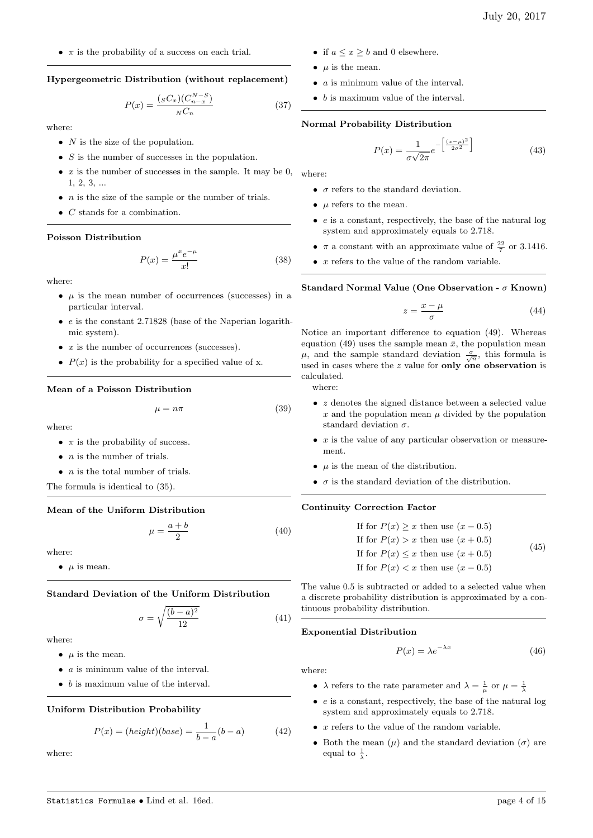•  $\pi$  is the probability of a success on each trial.

# Hypergeometric Distribution (without replacement)

$$
P(x) = \frac{(sC_x)(C_{n-x}^{N-S})}{N C_n}
$$
 (37)

where:

- $N$  is the size of the population.
- $S$  is the number of successes in the population.
- $x$  is the number of successes in the sample. It may be 0, where: 1, 2, 3, ...
- $n$  is the size of the sample or the number of trials.
- C stands for a combination.

## Poisson Distribution

$$
P(x) = \frac{\mu^x e^{-\mu}}{x!}
$$
 (38)

where:

- $\mu$  is the mean number of occurrences (successes) in a particular interval.
- $\bullet$  e is the constant 2.71828 (base of the Naperian logarithmic system).
- $x$  is the number of occurrences (successes).
- $P(x)$  is the probability for a specified value of x.

## Mean of a Poisson Distribution

$$
\mu = n\pi \tag{39}
$$

where:

- $\pi$  is the probability of success.
- $\bullet$  *n* is the number of trials.
- $n$  is the total number of trials.
- The formula is identical to (35).

# Mean of the Uniform Distribution

$$
\mu = \frac{a+b}{2} \tag{40}
$$

where:

•  $\mu$  is mean.

# Standard Deviation of the Uniform Distribution

$$
\sigma = \sqrt{\frac{(b-a)^2}{12}}\tag{41}
$$

where:

- $\mu$  is the mean.
- $\bullet$  *a* is minimum value of the interval.
- $\bullet$  b is maximum value of the interval.

# Uniform Distribution Probability

$$
P(x) = (height)(base) = \frac{1}{b-a}(b-a)
$$
 (42)

where:

- if  $a \leq x \geq b$  and 0 elsewhere.
- $\mu$  is the mean.
- a is minimum value of the interval.
- b is maximum value of the interval.

#### Normal Probability Distribution

$$
P(x) = \frac{1}{\sigma\sqrt{2\pi}}e^{-\left[\frac{(x-\mu)^2}{2\sigma^2}\right]}
$$
(43)

- $\sigma$  refers to the standard deviation.
- $\bullet$  *u* refers to the mean.
- e is a constant, respectively, the base of the natural log system and approximately equals to 2.718.
- $\pi$  a constant with an approximate value of  $\frac{22}{7}$  or 3.1416.
- $x$  refers to the value of the random variable.

Standard Normal Value (One Observation -  $\sigma$  Known)

$$
z = \frac{x - \mu}{\sigma} \tag{44}
$$

Notice an important difference to equation (49). Whereas equation (49) uses the sample mean  $\bar{x}$ , the population mean  $\mu$ , and the sample standard deviation  $\frac{\sigma}{\sqrt{n}}$ , this formula is used in cases where the  $z$  value for only one observation is calculated.

where:

- $\bullet \;$   $z$  denotes the signed distance between a selected value x and the population mean  $\mu$  divided by the population standard deviation  $\sigma$ .
- $\bullet$  x is the value of any particular observation or measurement.
- $\mu$  is the mean of the distribution.
- $\bullet$   $\sigma$  is the standard deviation of the distribution.

#### Continuity Correction Factor

| If for $P(x) \geq x$ then use $(x - 0.5)$ |      |
|-------------------------------------------|------|
| If for $P(x) > x$ then use $(x + 0.5)$    |      |
| If for $P(x) \leq x$ then use $(x + 0.5)$ | (45) |
| If for $P(x) < x$ then use $(x - 0.5)$    |      |

The value 0.5 is subtracted or added to a selected value when a discrete probability distribution is approximated by a continuous probability distribution.

# Exponential Distribution

$$
P(x) = \lambda e^{-\lambda x} \tag{46}
$$

- $\lambda$  refers to the rate parameter and  $\lambda = \frac{1}{\mu}$  or  $\mu = \frac{1}{\lambda}$
- $\bullet$  e is a constant, respectively, the base of the natural log system and approximately equals to 2.718.
- $x$  refers to the value of the random variable.
- Both the mean  $(\mu)$  and the standard deviation  $(\sigma)$  are equal to  $\frac{1}{\lambda}$ .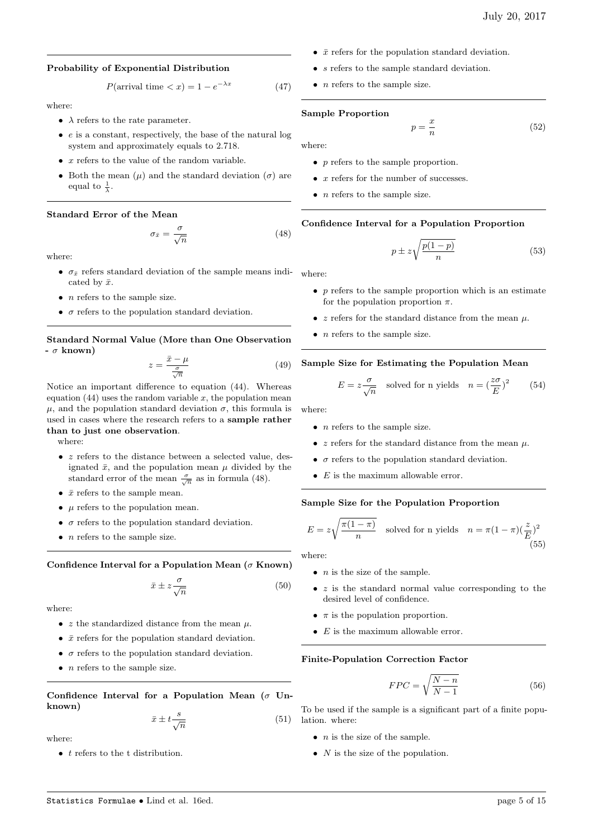#### Probability of Exponential Distribution

$$
P(\text{arrival time} < x) = 1 - e^{-\lambda x} \tag{47}
$$

where:

- $\lambda$  refers to the rate parameter.
- $\bullet$  e is a constant, respectively, the base of the natural log system and approximately equals to 2.718.
- $x$  refers to the value of the random variable.
- Both the mean  $(\mu)$  and the standard deviation  $(\sigma)$  are equal to  $\frac{1}{\lambda}$ .

#### Standard Error of the Mean

$$
\sigma_{\bar{x}} = \frac{\sigma}{\sqrt{n}} \tag{48}
$$

where

- $\sigma_{\bar{x}}$  refers standard deviation of the sample means indi- where: cated by  $\bar{x}$ .
- $\bullet$  *n* refers to the sample size.
- $\sigma$  refers to the population standard deviation.

# Standard Normal Value (More than One Observation  $- \sigma$  known)

$$
z = \frac{\bar{x} - \mu}{\frac{\sigma}{\sqrt{n}}} \tag{49}
$$

Notice an important difference to equation (44). Whereas equation  $(44)$  uses the random variable x, the population mean  $\mu$ , and the population standard deviation  $\sigma$ , this formula is used in cases where the research refers to a sample rather than to just one observation.

where:

- $z$  refers to the distance between a selected value, designated  $\bar{x}$ , and the population mean  $\mu$  divided by the standard error of the mean  $\frac{\sigma}{\sqrt{n}}$  as in formula (48).
- $\bar{x}$  refers to the sample mean.
- $\mu$  refers to the population mean.
- $\bullet$   $\sigma$  refers to the population standard deviation.
- $\bullet$  *n* refers to the sample size.

#### Confidence Interval for a Population Mean ( $\sigma$  Known)

$$
\bar{x} \pm z \frac{\sigma}{\sqrt{n}} \tag{50}
$$

where:

- $z$  the standardized distance from the mean  $\mu$ .
- $\bar{x}$  refers for the population standard deviation.
- $\bullet$   $\sigma$  refers to the population standard deviation.
- $\bullet$  *n* refers to the sample size.

Confidence Interval for a Population Mean ( $\sigma$  Unknown)

$$
\bar{x} \pm t \frac{s}{\sqrt{n}} \tag{51}
$$

where:

 $\bullet$  t refers to the t distribution.

- $\bar{x}$  refers for the population standard deviation.
- s refers to the sample standard deviation.
- $\bullet$  *n* refers to the sample size.

#### Sample Proportion

$$
p = \frac{x}{n} \tag{52}
$$

where:

- p refers to the sample proportion.
- $x$  refers for the number of successes.
- $n$  refers to the sample size.

#### Confidence Interval for a Population Proportion

$$
p \pm z \sqrt{\frac{p(1-p)}{n}}\tag{53}
$$

- $p$  refers to the sample proportion which is an estimate for the population proportion  $\pi$ .
- $z$  refers for the standard distance from the mean  $\mu$ .
- $n$  refers to the sample size.

#### Sample Size for Estimating the Population Mean

$$
E = z \frac{\sigma}{\sqrt{n}} \quad \text{solved for n yields} \quad n = \left(\frac{z\sigma}{E}\right)^2 \tag{54}
$$

where:

- $\bullet$  *n* refers to the sample size.
- $z$  refers for the standard distance from the mean  $\mu$ .
- $\bullet$   $\sigma$  refers to the population standard deviation.
- $E$  is the maximum allowable error.

#### Sample Size for the Population Proportion

$$
E = z\sqrt{\frac{\pi(1-\pi)}{n}} \quad \text{solved for n yields} \quad n = \pi(1-\pi)(\frac{z}{E})^2
$$
\n(55)

where:

- $\bullet$  *n* is the size of the sample.
- $\bullet$  z is the standard normal value corresponding to the desired level of confidence.
- $\pi$  is the population proportion.
- $E$  is the maximum allowable error.

#### Finite-Population Correction Factor

$$
FPC = \sqrt{\frac{N-n}{N-1}}\tag{56}
$$

To be used if the sample is a significant part of a finite population. where:

- $\bullet$  *n* is the size of the sample.
- $N$  is the size of the population.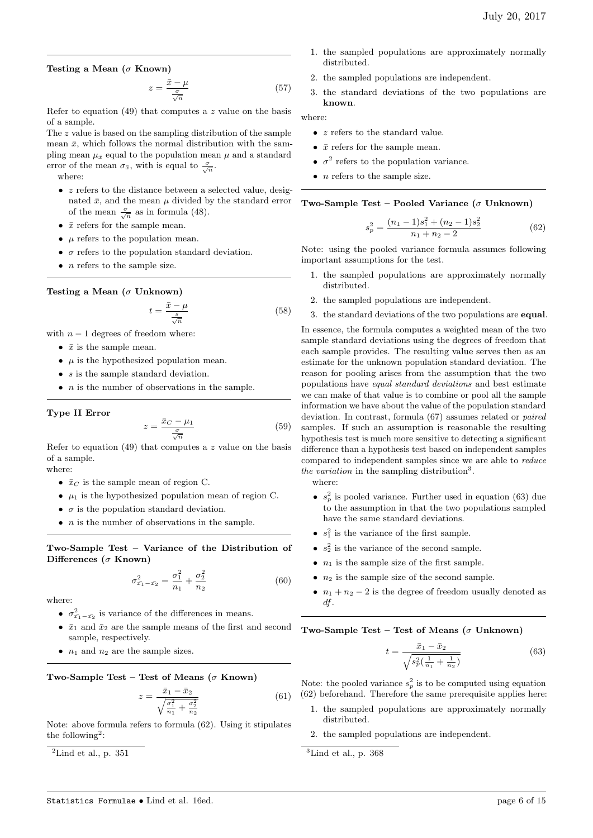#### Testing a Mean ( $\sigma$  Known)

$$
z = \frac{\bar{x} - \mu}{\frac{\sigma}{\sqrt{n}}} \tag{57}
$$

Refer to equation  $(49)$  that computes a z value on the basis of a sample.

The z value is based on the sampling distribution of the sample mean  $\bar{x}$ , which follows the normal distribution with the sampling mean  $\mu_{\bar{x}}$  equal to the population mean  $\mu$  and a standard error of the mean  $\sigma_{\bar{x}}$ , with is equal to  $\frac{\sigma}{\sqrt{n}}$ . where:

- $\bullet$  z refers to the distance between a selected value, designated  $\bar{x}$ , and the mean  $\mu$  divided by the standard error of the mean  $\frac{\sigma}{\sqrt{n}}$  as in formula (48).
- $\bar{x}$  refers for the sample mean.
- $\mu$  refers to the population mean.
- $\bullet$   $\sigma$  refers to the population standard deviation.
- $\bullet$  *n* refers to the sample size.

Testing a Mean ( $\sigma$  Unknown)

$$
t = \frac{\bar{x} - \mu}{\frac{s}{\sqrt{n}}} \tag{58}
$$

with  $n - 1$  degrees of freedom where:

- $\bar{x}$  is the sample mean.
- $\mu$  is the hypothesized population mean.
- s is the sample standard deviation.
- $\bullet$  *n* is the number of observations in the sample.

#### Type II Error

$$
z = \frac{\bar{x}_C - \mu_1}{\frac{\sigma}{\sqrt{n}}} \tag{59}
$$

Refer to equation (49) that computes a z value on the basis of a sample. where:

- $\bar{x}_C$  is the sample mean of region C.
- $\mu_1$  is the hypothesized population mean of region C.
- $\sigma$  is the population standard deviation.
- $\bullet$  *n* is the number of observations in the sample.

Two-Sample Test – Variance of the Distribution of Differences ( $\sigma$  Known)

$$
\sigma_{\bar{x_1} - \bar{x_2}}^2 = \frac{\sigma_1^2}{n_1} + \frac{\sigma_2^2}{n_2} \tag{60}
$$

where:

- $\sigma_{\bar{x_1}-\bar{x_2}}^2$  is variance of the differences in means.
- $\bar{x}_1$  and  $\bar{x}_2$  are the sample means of the first and second sample, respectively.
- $n_1$  and  $n_2$  are the sample sizes.

Two-Sample Test – Test of Means ( $\sigma$  Known)

 $\tilde{z}$ 

$$
=\frac{\bar{x}_1 - \bar{x}_2}{\sqrt{\frac{\sigma_1^2}{n_1} + \frac{\sigma_2^2}{n_2}}}
$$
(61)

Note: above formula refers to formula (62). Using it stipulates the following<sup>2</sup>:

 $\mathrm{^{2}Lind}$  et al., p. 351

- 1. the sampled populations are approximately normally distributed.
- 2. the sampled populations are independent.
- 3. the standard deviations of the two populations are known.

where:

- $z$  refers to the standard value.
- $\bar{x}$  refers for the sample mean.
- $\sigma^2$  refers to the population variance.
- $\bullet$  *n* refers to the sample size.

Two-Sample Test – Pooled Variance ( $\sigma$  Unknown)

$$
s_p^2 = \frac{(n_1 - 1)s_1^2 + (n_2 - 1)s_2^2}{n_1 + n_2 - 2}
$$
 (62)

Note: using the pooled variance formula assumes following important assumptions for the test.

- 1. the sampled populations are approximately normally distributed.
- 2. the sampled populations are independent.
- 3. the standard deviations of the two populations are equal.

In essence, the formula computes a weighted mean of the two sample standard deviations using the degrees of freedom that each sample provides. The resulting value serves then as an estimate for the unknown population standard deviation. The reason for pooling arises from the assumption that the two populations have equal standard deviations and best estimate we can make of that value is to combine or pool all the sample information we have about the value of the population standard deviation. In contrast, formula (67) assumes related or paired samples. If such an assumption is reasonable the resulting hypothesis test is much more sensitive to detecting a significant difference than a hypothesis test based on independent samples compared to independent samples since we are able to reduce the variation in the sampling distribution<sup>3</sup>.

where:

- $s_p^2$  is pooled variance. Further used in equation (63) due to the assumption in that the two populations sampled have the same standard deviations.
- $s_1^2$  is the variance of the first sample.
- $s_2^2$  is the variance of the second sample.
- $n_1$  is the sample size of the first sample.
- $n_2$  is the sample size of the second sample.
- $n_1 + n_2 2$  is the degree of freedom usually denoted as df.

Two-Sample Test – Test of Means ( $\sigma$  Unknown)

$$
t = \frac{\bar{x}_1 - \bar{x}_2}{\sqrt{s_p^2(\frac{1}{n_1} + \frac{1}{n_2})}}
$$
(63)

Note: the pooled variance  $s_p^2$  is to be computed using equation (62) beforehand. Therefore the same prerequisite applies here:

- 1. the sampled populations are approximately normally distributed.
- 2. the sampled populations are independent.
- ${}^{3}$ Lind et al., p. 368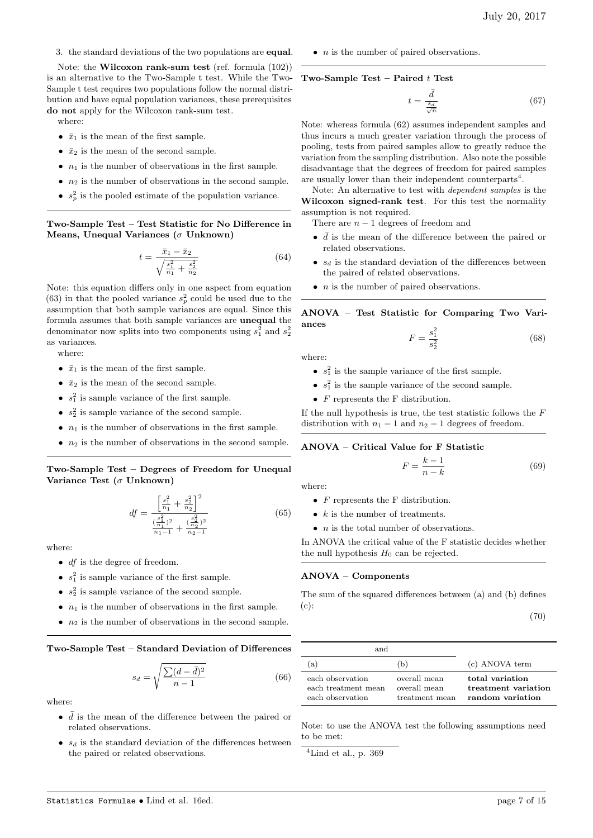3. the standard deviations of the two populations are equal.

Note: the Wilcoxon rank-sum test (ref. formula (102)) is an alternative to the Two-Sample t test. While the Two-Sample t test requires two populations follow the normal distribution and have equal population variances, these prerequisites do not apply for the Wilcoxon rank-sum test.

where:

- $\bar{x}_1$  is the mean of the first sample.
- $\bar{x}_2$  is the mean of the second sample.
- $n_1$  is the number of observations in the first sample.
- $n_2$  is the number of observations in the second sample.
- $s_p^2$  is the pooled estimate of the population variance.

Two-Sample Test – Test Statistic for No Difference in Means, Unequal Variances ( $\sigma$  Unknown)

$$
t = \frac{\bar{x}_1 - \bar{x}_2}{\sqrt{\frac{s_1^2}{n_1} + \frac{s_2^2}{n_2}}} \tag{64}
$$

Note: this equation differs only in one aspect from equation (63) in that the pooled variance  $s_p^2$  could be used due to the assumption that both sample variances are equal. Since this formula assumes that both sample variances are unequal the denominator now splits into two components using  $s_1^2$  and  $s_2^2$ as variances.

where:

- $\bar{x}_1$  is the mean of the first sample.
- $\bar{x}_2$  is the mean of the second sample.
- $s_1^2$  is sample variance of the first sample.
- $s_2^2$  is sample variance of the second sample.
- $n_1$  is the number of observations in the first sample.
- $n_2$  is the number of observations in the second sample.

Two-Sample Test – Degrees of Freedom for Unequal Variance Test ( $\sigma$  Unknown)

$$
df = \frac{\left[\frac{s_1^2}{n_1} + \frac{s_2^2}{n_2}\right]^2}{\frac{\left(\frac{s_1^2}{n_1}\right)^2}{n_1 - 1} + \frac{\left(\frac{s_2^2}{n_2}\right)^2}{n_2 - 1}}
$$
(65)

where:

- $\bullet$  *df* is the degree of freedom.
- $s_1^2$  is sample variance of the first sample.
- $s_2^2$  is sample variance of the second sample.
- $n_1$  is the number of observations in the first sample.
- $n_2$  is the number of observations in the second sample.

Two-Sample Test – Standard Deviation of Differences

$$
s_d = \sqrt{\frac{\sum (d - \bar{d})^2}{n - 1}}\tag{66}
$$

where:

- $\bar{d}$  is the mean of the difference between the paired or related observations.
- $s_d$  is the standard deviation of the differences between the paired or related observations.

 $\bullet$  *n* is the number of paired observations.

#### Two-Sample Test – Paired  $t$  Test

$$
t = \frac{\bar{d}}{\frac{s_d}{\sqrt{n}}} \tag{67}
$$

Note: whereas formula (62) assumes independent samples and thus incurs a much greater variation through the process of pooling, tests from paired samples allow to greatly reduce the variation from the sampling distribution. Also note the possible disadvantage that the degrees of freedom for paired samples are usually lower than their independent counterparts<sup>4</sup>.

Note: An alternative to test with dependent samples is the Wilcoxon signed-rank test. For this test the normality assumption is not required.

There are  $n - 1$  degrees of freedom and

- $\bar{d}$  is the mean of the difference between the paired or related observations.
- $s_d$  is the standard deviation of the differences between the paired of related observations.
- $\bullet$  *n* is the number of paired observations.

ANOVA – Test Statistic for Comparing Two Variances

$$
F = \frac{s_1^2}{s_2^2} \tag{68}
$$

where:

- $s_1^2$  is the sample variance of the first sample.
- $s_1^2$  is the sample variance of the second sample.
- $F$  represents the F distribution.

If the null hypothesis is true, the test statistic follows the  $F$ distribution with  $n_1 - 1$  and  $n_2 - 1$  degrees of freedom.

#### ANOVA – Critical Value for F Statistic

$$
F = \frac{k-1}{n-k} \tag{69}
$$

where:

- $F$  represents the F distribution.
- $k$  is the number of treatments.
- $\bullet$  *n* is the total number of observations.

In ANOVA the critical value of the F statistic decides whether the null hypothesis  $H_0$  can be rejected.

## ANOVA – Components

The sum of the squared differences between (a) and (b) defines (c):

(70)

| and                                                         |                                                |                                                            |
|-------------------------------------------------------------|------------------------------------------------|------------------------------------------------------------|
| a)                                                          | (b)                                            | (c) ANOVA term                                             |
| each observation<br>each treatment mean<br>each observation | overall mean<br>overall mean<br>treatment mean | total variation<br>treatment variation<br>random variation |

Note: to use the ANOVA test the following assumptions need to be met:

 $4$ Lind et al., p. 369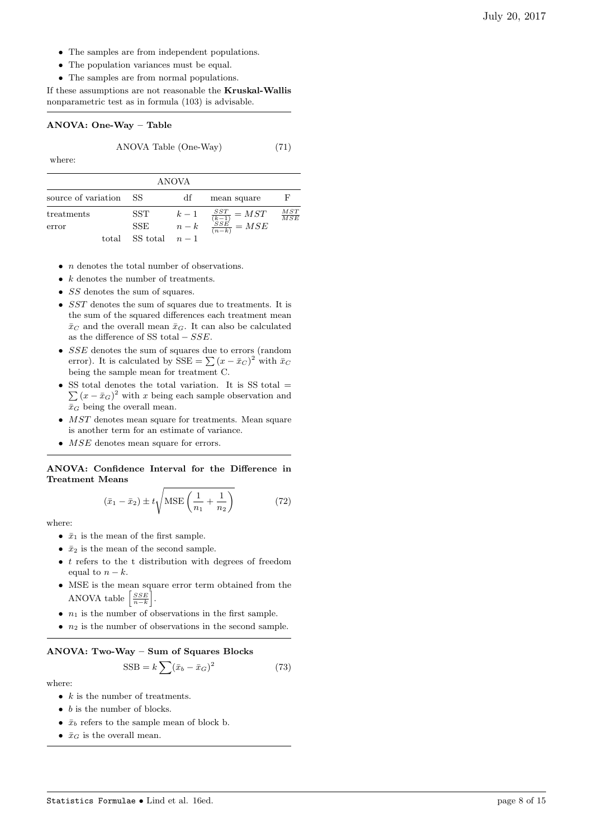- The samples are from independent populations.
- The population variances must be equal.
- The samples are from normal populations.

If these assumptions are not reasonable the Kruskal-Wallis nonparametric test as in formula (103) is advisable.

#### ANOVA: One-Way – Table

ANOVA Table (One-Way) (71)

where:

| <b>ANOVA</b>        |          |                   |                                                   |                   |  |
|---------------------|----------|-------------------|---------------------------------------------------|-------------------|--|
| source of variation | -SS      | df                | mean square                                       | F                 |  |
| treatments          | SST      |                   |                                                   | $\frac{MST}{MSE}$ |  |
| error               | SSE      | $\frac{k-1}{n-k}$ | $\frac{\frac{SST}{(k-1)}}{\frac{SSE}{(n-k)}}=MSE$ |                   |  |
| total               | SS total | $n-1$             |                                                   |                   |  |

- *n* denotes the total number of observations.
- $k$  denotes the number of treatments.
- *SS* denotes the sum of squares.
- SST denotes the sum of squares due to treatments. It is the sum of the squared differences each treatment mean  $\bar{x}_C$  and the overall mean  $\bar{x}_G$ . It can also be calculated as the difference of SS total  $-SSE$ .
- SSE denotes the sum of squares due to errors (random error). It is calculated by  $SSE = \sum (x - \bar{x}_C)^2$  with  $\bar{x}_C$ being the sample mean for treatment C.
- SS total denotes the total variation. It is SS total  $=$  $\sum (x - \bar{x}_G)^2$  with x being each sample observation and  $\bar{x}_G$  being the overall mean.
- MST denotes mean square for treatments. Mean square is another term for an estimate of variance.
- *MSE* denotes mean square for errors.

ANOVA: Confidence Interval for the Difference in Treatment Means

$$
(\bar{x}_1 - \bar{x}_2) \pm t \sqrt{\text{MSE}\left(\frac{1}{n_1} + \frac{1}{n_2}\right)}\tag{72}
$$

where:

- $\bar{x}_1$  is the mean of the first sample.
- $\bullet~~\bar{x}_2$  is the mean of the second sample.
- $\bullet$  *t* refers to the t distribution with degrees of freedom equal to  $n - k$ .
- MSE is the mean square error term obtained from the ANOVA table  $\left\lceil \frac{SSE}{n-k} \right\rceil$ .
- $n_1$  is the number of observations in the first sample.
- $n_2$  is the number of observations in the second sample.

# ANOVA: Two-Way – Sum of Squares Blocks

$$
SSB = k \sum (\bar{x}_b - \bar{x}_G)^2 \tag{73}
$$

- $k$  is the number of treatments.
- $\bullet$  b is the number of blocks.
- $\bar{x}_b$  refers to the sample mean of block b.
- $\bar{x}_G$  is the overall mean.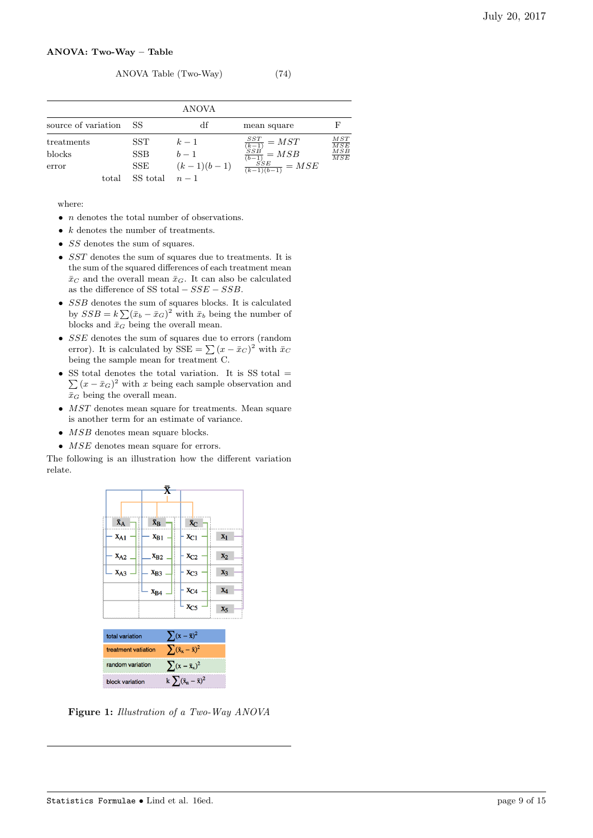#### ANOVA: Two-Way – Table

# ANOVA Table (Two-Way) (74)

|                     |            | ANOVA        |                                                                      |                   |
|---------------------|------------|--------------|----------------------------------------------------------------------|-------------------|
| source of variation | -SS        | df           | mean square                                                          | F                 |
| treatments          | SST.       | $k-1$        |                                                                      | $\frac{MST}{MSE}$ |
| blocks              | <b>SSB</b> | $b-1$        | $\frac{SST}{\frac{(k-1)}{(b-1)}} = MST$<br>$\frac{SSB}{(b-1)} = MSB$ | $\frac{MSB}{MSE}$ |
| error               | SSE        | $(k-1)(b-1)$ | $\frac{SSE}{(k-1)(b-1)} = MSE$                                       |                   |
| total               | SS total   | $n-1$        |                                                                      |                   |

where:

- *n* denotes the total number of observations.
- $k$  denotes the number of treatments.
- $\bullet \;\;SS$  denotes the sum of squares.
- SST denotes the sum of squares due to treatments. It is the sum of the squared differences of each treatment mean  $\bar{x}_C$  and the overall mean  $\bar{x}_G$ . It can also be calculated as the difference of SS total  $-SSE - SSB$ .
- $\bullet$   $SSB$  denotes the sum of squares blocks. It is calculated by  $SSB = k\sum (\bar{x}_b - \bar{x}_G)^2$  with  $\bar{x}_b$  being the number of blocks and  $\bar{x}_G$  being the overall mean.
- SSE denotes the sum of squares due to errors (random error). It is calculated by  $SSE = \sum (x - \bar{x}_C)^2$  with  $\bar{x}_C$ being the sample mean for treatment C.
- SS total denotes the total variation. It is SS total  $=$  $\sum (x - \bar{x}_G)^2$  with x being each sample observation and  $\bar{x}_G$  being the overall mean.
- *MST* denotes mean square for treatments. Mean square is another term for an estimate of variance.
- *MSB* denotes mean square blocks.
- *MSE* denotes mean square for errors.

The following is an illustration how the different variation relate.

|                                                       | x                               |                                  |                |  |  |
|-------------------------------------------------------|---------------------------------|----------------------------------|----------------|--|--|
|                                                       |                                 |                                  |                |  |  |
|                                                       |                                 |                                  |                |  |  |
| $\bar{X}_A$                                           | $\bar{\mathbf{X}}_{\mathbf{B}}$ | $\bar{X}_C$                      |                |  |  |
| $X_{A1}$                                              | $x_{B1}$                        | $x_{C1}$                         | $X_1$          |  |  |
| $X_{A2}$                                              | $X_{B2}$                        | X <sub>C2</sub>                  | $x_2$          |  |  |
| X <sub>A3</sub>                                       | X <sub>B3</sub>                 | X <sub>C3</sub>                  | X <sub>3</sub> |  |  |
|                                                       | $X_{B4}$                        | X <sub>C4</sub>                  | $X_4$          |  |  |
|                                                       |                                 | X <sub>C5</sub>                  | X5             |  |  |
|                                                       |                                 |                                  |                |  |  |
| $\sum (x - \bar{x})^2$<br>total variation             |                                 |                                  |                |  |  |
| $\sum (\bar{x}_x - \bar{x})^2$<br>treatment vatiation |                                 |                                  |                |  |  |
| $\sum (x - \bar{x}_x)^2$<br>random variation          |                                 |                                  |                |  |  |
| block variation                                       |                                 | k $\sum (\bar{x}_n - \bar{x})^2$ |                |  |  |

Figure 1: Illustration of a Two-Way ANOVA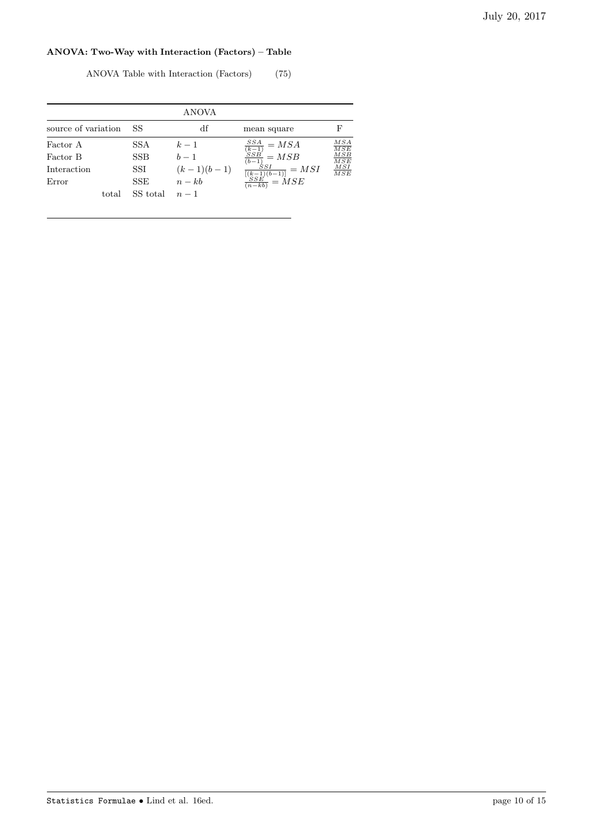# ANOVA: Two-Way with Interaction (Factors) – Table

| ANOVA Table with Interaction (Factors) |  |  | (75) |  |
|----------------------------------------|--|--|------|--|
|----------------------------------------|--|--|------|--|

|                                                       |                                         | <b>ANOVA</b>                                        |                                                                                                                |                                                                         |
|-------------------------------------------------------|-----------------------------------------|-----------------------------------------------------|----------------------------------------------------------------------------------------------------------------|-------------------------------------------------------------------------|
| source of variation                                   | SS                                      | df                                                  | mean square                                                                                                    | F                                                                       |
| Factor A<br>Factor B<br>Interaction<br>Error<br>total | SSA.<br>SSB.<br>SSI<br>SSE.<br>SS total | $k-1$<br>$b-1$<br>$(k-1)(b-1)$<br>$n - kb$<br>$n-1$ | $\frac{\frac{SSA}{(k-1)}}{\frac{SSB}{(b-1)}}=MSB$<br>$\frac{\frac{SSI}{[(k-1)(b-1)]}}{\frac{SSE}{(n-kb)}}=MSE$ | MSA<br>$\overline{MSE}$<br>MSB<br>$\overline{MSE}$<br>$\frac{MSI}{MSE}$ |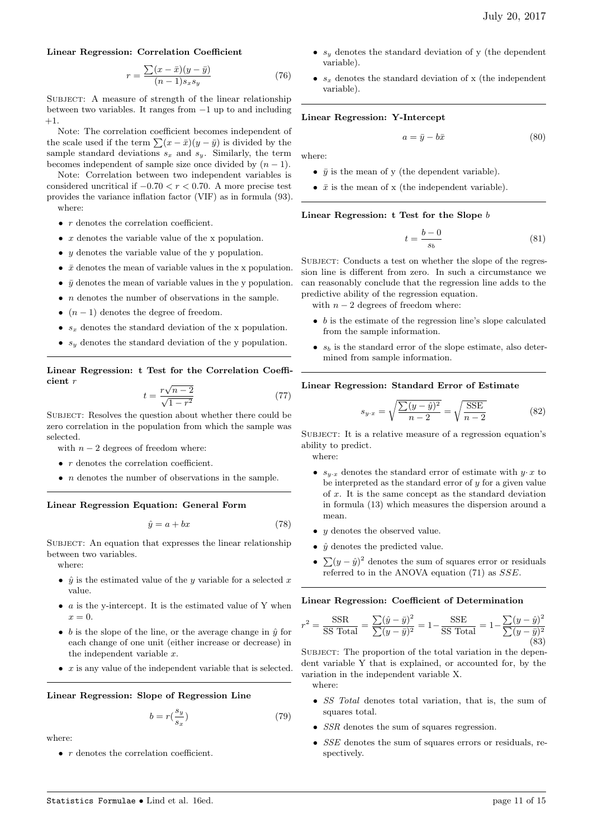#### Linear Regression: Correlation Coefficient

$$
r = \frac{\sum (x - \bar{x})(y - \bar{y})}{(n - 1)s_x s_y} \tag{76}
$$

SUBJECT: A measure of strength of the linear relationship between two variables. It ranges from −1 up to and including +1.

Note: The correlation coefficient becomes independent of the scale used if the term  $\sum (x - \bar{x})(y - \bar{y})$  is divided by the sample standard deviations  $s_x$  and  $s_y$ . Similarly, the term becomes independent of sample size once divided by  $(n - 1)$ .

Note: Correlation between two independent variables is considered uncritical if  $-0.70 < r < 0.70$ . A more precise test provides the variance inflation factor (VIF) as in formula (93). where:

- $\bullet~~r$  denotes the correlation coefficient.
- $x$  denotes the variable value of the x population.
- $y$  denotes the variable value of the y population.
- $\bar{x}$  denotes the mean of variable values in the x population.
- $\bar{y}$  denotes the mean of variable values in the y population.
- $\bullet$  *n* denotes the number of observations in the sample.
- $(n-1)$  denotes the degree of freedom.
- $s_x$  denotes the standard deviation of the x population.
- $s_y$  denotes the standard deviation of the y population.

Linear Regression: t Test for the Correlation Coefficient r √

$$
t = \frac{r\sqrt{n-2}}{\sqrt{1-r^2}}\tag{77}
$$

SUBJECT: Resolves the question about whether there could be zero correlation in the population from which the sample was selected.

with  $n - 2$  degrees of freedom where:

- $\bullet~~r$  denotes the correlation coefficient.
- $\bullet$  *n* denotes the number of observations in the sample.

#### Linear Regression Equation: General Form

$$
\hat{y} = a + bx \tag{78}
$$

SUBJECT: An equation that expresses the linear relationship between two variables.

where:

- $\hat{y}$  is the estimated value of the y variable for a selected x value.
- $\bullet$  a is the y-intercept. It is the estimated value of Y when  $x=0.$
- b is the slope of the line, or the average change in  $\hat{y}$  for each change of one unit (either increase or decrease) in the independent variable  $x$ .
- $\bullet$  *x* is any value of the independent variable that is selected.

#### Linear Regression: Slope of Regression Line

$$
b = r\left(\frac{s_y}{s_x}\right) \tag{79}
$$

where:

• *r* denotes the correlation coefficient.

- $s_y$  denotes the standard deviation of y (the dependent variable).
- $s_x$  denotes the standard deviation of x (the independent variable).

#### Linear Regression: Y-Intercept

 $a = \bar{y} - b\bar{x}$  (80)

where:

- $\bar{y}$  is the mean of y (the dependent variable).
- $\bar{x}$  is the mean of x (the independent variable).

Linear Regression: t Test for the Slope b

$$
t = \frac{b - 0}{s_b} \tag{81}
$$

SUBJECT: Conducts a test on whether the slope of the regression line is different from zero. In such a circumstance we can reasonably conclude that the regression line adds to the predictive ability of the regression equation.

with  $n - 2$  degrees of freedom where:

- $\bullet$  b is the estimate of the regression line's slope calculated from the sample information.
- $s_b$  is the standard error of the slope estimate, also determined from sample information.

#### Linear Regression: Standard Error of Estimate

$$
s_{y \cdot x} = \sqrt{\frac{\sum (y - \hat{y})^2}{n - 2}} = \sqrt{\frac{\text{SSE}}{n - 2}}
$$
 (82)

SUBJECT: It is a relative measure of a regression equation's ability to predict.

where:

r

- $s_{y \cdot x}$  denotes the standard error of estimate with  $y \cdot x$  to be interpreted as the standard error of  $y$  for a given value of x. It is the same concept as the standard deviation in formula (13) which measures the dispersion around a mean.
- y denotes the observed value.
- $\hat{y}$  denotes the predicted value.
- $\sum(y - \hat{y})^2$  denotes the sum of squares error or residuals referred to in the ANOVA equation (71) as SSE.

#### Linear Regression: Coefficient of Determination

$$
t^{2} = \frac{\text{SSR}}{\text{SS Total}} = \frac{\sum(\hat{y} - \bar{y})^{2}}{\sum(y - \bar{y})^{2}} = 1 - \frac{\text{SSE}}{\text{SS Total}} = 1 - \frac{\sum(y - \hat{y})^{2}}{\sum(y - \bar{y})^{2}}
$$
\n(83)

SUBJECT: The proportion of the total variation in the dependent variable Y that is explained, or accounted for, by the variation in the independent variable X. where:

- SS Total denotes total variation, that is, the sum of squares total.
- SSR denotes the sum of squares regression.
- SSE denotes the sum of squares errors or residuals, respectively.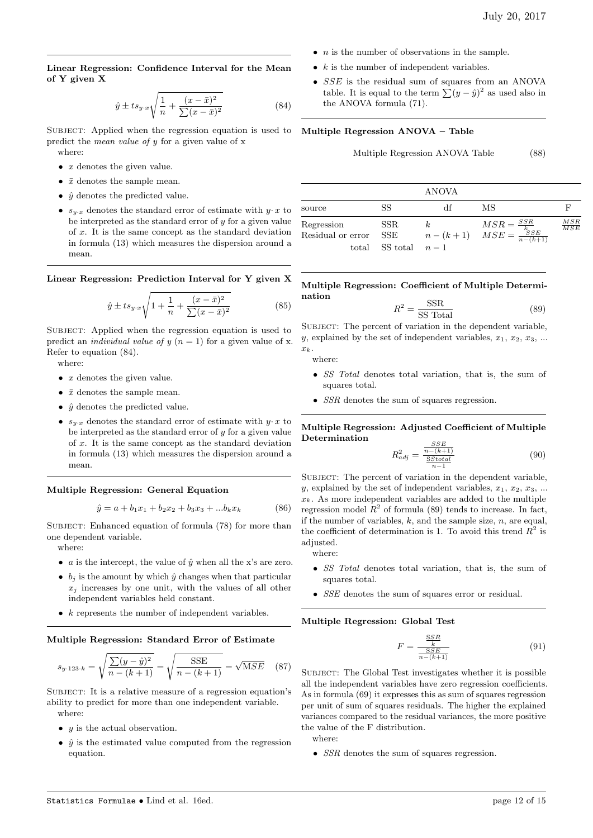Linear Regression: Confidence Interval for the Mean of Y given X

$$
\hat{y} \pm ts_{y \cdot x} \sqrt{\frac{1}{n} + \frac{(x - \bar{x})^2}{\sum (x - \bar{x})^2}}
$$
\n(84)

SUBJECT: Applied when the regression equation is used to Multiple Regression ANOVA - Table predict the mean value of y for a given value of x where:

- $\bullet$  *x* denotes the given value.
- $\bar{x}$  denotes the sample mean.
- $\hat{y}$  denotes the predicted value.
- $s_{y \cdot x}$  denotes the standard error of estimate with  $y \cdot x$  to be interpreted as the standard error of  $y$  for a given value of x. It is the same concept as the standard deviation in formula (13) which measures the dispersion around a mean.

Linear Regression: Prediction Interval for Y given X

$$
\hat{y} \pm ts_{y \cdot x} \sqrt{1 + \frac{1}{n} + \frac{(x - \bar{x})^2}{\sum (x - \bar{x})^2}}
$$
(85)

SUBJECT: Applied when the regression equation is used to predict an *individual value of y*  $(n = 1)$  for a given value of x. Refer to equation (84).

where:

- $\bullet$  *x* denotes the given value.
- $\bar{x}$  denotes the sample mean.
- $\hat{y}$  denotes the predicted value.
- $s_{y \cdot x}$  denotes the standard error of estimate with  $y \cdot x$  to be interpreted as the standard error of  $y$  for a given value of x. It is the same concept as the standard deviation in formula (13) which measures the dispersion around a mean.

Multiple Regression: General Equation

$$
\hat{y} = a + b_1 x_1 + b_2 x_2 + b_3 x_3 + \dots + b_k x_k \tag{86}
$$

SUBJECT: Enhanced equation of formula (78) for more than one dependent variable.

where:

- *a* is the intercept, the value of  $\hat{y}$  when all the x's are zero.
- $b_i$  is the amount by which  $\hat{y}$  changes when that particular  $x_i$  increases by one unit, with the values of all other independent variables held constant.
- $\bullet$  k represents the number of independent variables.

#### Multiple Regression: Standard Error of Estimate

$$
s_{y \cdot 123 \cdot k} = \sqrt{\frac{\sum (y - \hat{y})^2}{n - (k + 1)}} = \sqrt{\frac{\text{SSE}}{n - (k + 1)}} = \sqrt{\text{MSE}} \quad (87)
$$

SUBJECT: It is a relative measure of a regression equation's ability to predict for more than one independent variable. where:

- $y$  is the actual observation.
- $\hat{y}$  is the estimated value computed from the regression equation.
- $n$  is the number of observations in the sample.
- $k$  is the number of independent variables.
- SSE is the residual sum of squares from an ANOVA table. It is equal to the term  $\sum (y - \hat{y})^2$  as used also in the ANOVA formula (71).

Multiple Regression ANOVA Table (88)

|                                 |                      | ANOVA |                                                                                     |                   |
|---------------------------------|----------------------|-------|-------------------------------------------------------------------------------------|-------------------|
| source                          | SS                   | df    | МS                                                                                  |                   |
| Regression<br>Residual or error | SSR.<br>SSE          |       | $k \qquad \qquad MSE = \frac{SSR}{k}$<br>$n-(k+1) \qquad MSE = \frac{SSE}{n-(k+1)}$ | $\frac{MSR}{MSE}$ |
|                                 | total SS total $n-1$ |       |                                                                                     |                   |

Multiple Regression: Coefficient of Multiple Determination  $\overline{S}$ 

$$
R^2 = \frac{\text{SNR}}{\text{SS Total}}\tag{89}
$$

SUBJECT: The percent of variation in the dependent variable, y, explained by the set of independent variables,  $x_1, x_2, x_3, \ldots$  $x_k$ .

where:

- SS Total denotes total variation, that is, the sum of squares total.
- *SSR* denotes the sum of squares regression.

#### Multiple Regression: Adjusted Coefficient of Multiple Determination o o p

$$
R_{adj}^{2} = \frac{\frac{SSE}{n - (k+1)}}{\frac{\text{SStotal}}{n-1}}
$$
 (90)

SUBJECT: The percent of variation in the dependent variable, y, explained by the set of independent variables,  $x_1, x_2, x_3, \ldots$  $x_k$ . As more independent variables are added to the multiple regression model  $R^2$  of formula (89) tends to increase. In fact, if the number of variables,  $k$ , and the sample size,  $n$ , are equal, the coefficient of determination is 1. To avoid this trend  $R^2$  is adjusted.

where:

- SS Total denotes total variation, that is, the sum of squares total.
- SSE denotes the sum of squares error or residual.

#### Multiple Regression: Global Test

$$
F = \frac{\frac{SSR}{k}}{\frac{SSE}{n - (k+1)}}
$$
(91)

SUBJECT: The Global Test investigates whether it is possible all the independent variables have zero regression coefficients. As in formula (69) it expresses this as sum of squares regression per unit of sum of squares residuals. The higher the explained variances compared to the residual variances, the more positive the value of the F distribution.

where:

• *SSR* denotes the sum of squares regression.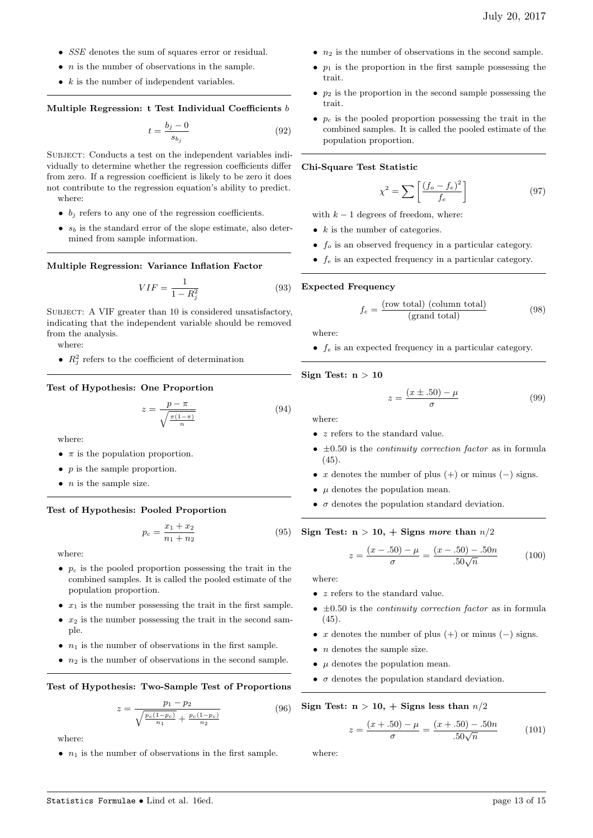- SSE denotes the sum of squares error or residual.
- $\bullet$  *n* is the number of observations in the sample.
- $k$  is the number of independent variables.

# Multiple Regression: t Test Individual Coefficients b

$$
t = \frac{b_j - 0}{s_{b_j}}\tag{92}
$$

SUBJECT: Conducts a test on the independent variables individually to determine whether the regression coefficients differ from zero. If a regression coefficient is likely to be zero it does not contribute to the regression equation's ability to predict. where:

- $\bullet$   $b_j$  refers to any one of the regression coefficients.
- $s_b$  is the standard error of the slope estimate, also determined from sample information.

# Multiple Regression: Variance Inflation Factor

$$
VIF = \frac{1}{1 - R_j^2} \tag{93}
$$

SUBJECT: A VIF greater than 10 is considered unsatisfactory, indicating that the independent variable should be removed from the analysis.

where:

•  $R_j^2$  refers to the coefficient of determination

## Test of Hypothesis: One Proportion

$$
z = \frac{p - \pi}{\sqrt{\frac{\pi(1-\pi)}{n}}} \tag{94}
$$

where:

- $\pi$  is the population proportion.
- $p$  is the sample proportion.
- $\bullet$  *n* is the sample size.

#### Test of Hypothesis: Pooled Proportion

$$
p_c = \frac{x_1 + x_2}{n_1 + n_2} \tag{95}
$$

where:

- $p_c$  is the pooled proportion possessing the trait in the combined samples. It is called the pooled estimate of the population proportion.
- $x_1$  is the number possessing the trait in the first sample.
- $x_2$  is the number possessing the trait in the second sample.
- $n_1$  is the number of observations in the first sample.
- $n_2$  is the number of observations in the second sample.

#### Test of Hypothesis: Two-Sample Test of Proportions

$$
z = \frac{p_1 - p_2}{\sqrt{\frac{p_c(1 - p_c)}{n_1} + \frac{p_c(1 - p_c)}{n_2}}}
$$
(96)

where:

•  $n_1$  is the number of observations in the first sample.

- $n_2$  is the number of observations in the second sample.
- $p_1$  is the proportion in the first sample possessing the trait.
- $p_2$  is the proportion in the second sample possessing the trait.
- $p_c$  is the pooled proportion possessing the trait in the combined samples. It is called the pooled estimate of the population proportion.

#### Chi-Square Test Statistic

$$
\chi^2 = \sum \left[ \frac{(f_o - f_e)^2}{f_e} \right] \tag{97}
$$

with  $k - 1$  degrees of freedom, where:

- $k$  is the number of categories.
- $f<sub>o</sub>$  is an observed frequency in a particular category.
- $f_e$  is an expected frequency in a particular category.

#### Expected Frequency

$$
f_e = \frac{\text{(row total) (column total)}}{\text{(grand total)}}\tag{98}
$$

where:

•  $f_e$  is an expected frequency in a particular category.

#### Sign Test:  $n > 10$

$$
z = \frac{(x \pm .50) - \mu}{\sigma} \tag{99}
$$

where:

- $z$  refers to the standard value.
- $\pm 0.50$  is the *continuity correction factor* as in formula (45).
- x denotes the number of plus  $(+)$  or minus  $(-)$  signs.
- $\mu$  denotes the population mean.
- $\bullet$   $\sigma$  denotes the population standard deviation.

Sign Test:  $n > 10$ ,  $+$  Signs more than  $n/2$ 

$$
z = \frac{(x - .50) - \mu}{\sigma} = \frac{(x - .50) - .50n}{.50\sqrt{n}}\tag{100}
$$

where:

- $\bullet\;$   $z$  refers to the standard value.
- $\pm 0.50$  is the *continuity correction factor* as in formula (45).
- x denotes the number of plus  $(+)$  or minus  $(-)$  signs.
- $\bullet$  *n* denotes the sample size.
- $\mu$  denotes the population mean.
- $\bullet$   $\sigma$  denotes the population standard deviation.

# Sign Test:  $n > 10$ ,  $+$  Signs less than  $n/2$

$$
z = \frac{(x + .50) - \mu}{\sigma} = \frac{(x + .50) - .50n}{.50\sqrt{n}} \tag{101}
$$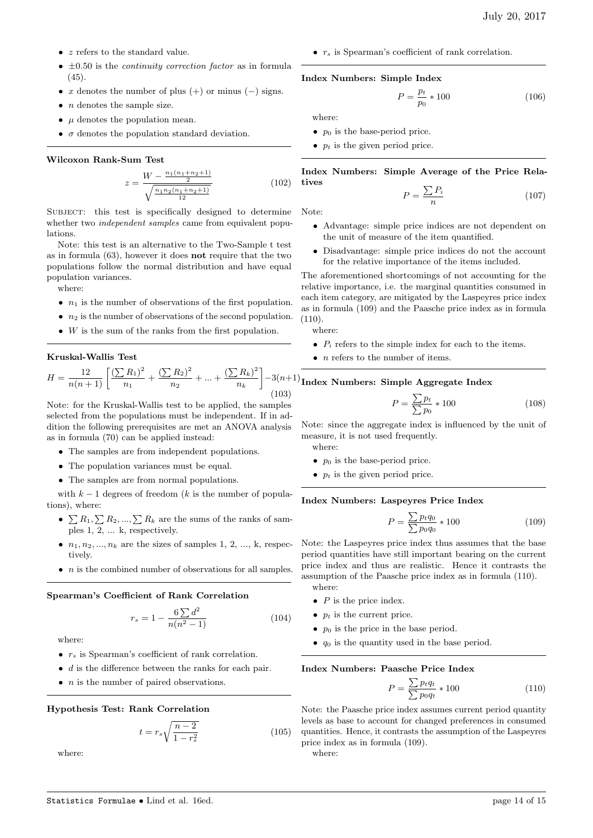- z refers to the standard value.
- $\pm 0.50$  is the *continuity correction factor* as in formula (45).
- x denotes the number of plus  $(+)$  or minus  $(-)$  signs.
- $n$  denotes the sample size.
- $\mu$  denotes the population mean.
- $\sigma$  denotes the population standard deviation.

#### Wilcoxon Rank-Sum Test

$$
z = \frac{W - \frac{n_1(n_1 + n_2 + 1)}{2}}{\sqrt{\frac{n_1 n_2(n_1 + n_2 + 1)}{12}}} \tag{102}
$$

SUBJECT: this test is specifically designed to determine whether two *independent samples* came from equivalent populations.

Note: this test is an alternative to the Two-Sample t test as in formula (63), however it does not require that the two populations follow the normal distribution and have equal population variances.

where:

- $n_1$  is the number of observations of the first population.
- $n_2$  is the number of observations of the second population.
- $\bullet$  W is the sum of the ranks from the first population.

#### Kruskal-Wallis Test

$$
H = \frac{12}{n(n+1)} \left[ \frac{\left(\sum R_1\right)^2}{n_1} + \frac{\left(\sum R_2\right)^2}{n_2} + \dots + \frac{\left(\sum R_k\right)^2}{n_k} \right] - 3(n+1)
$$
\n(103)

Note: for the Kruskal-Wallis test to be applied, the samples selected from the populations must be independent. If in addition the following prerequisites are met an ANOVA analysis as in formula (70) can be applied instead:

- The samples are from independent populations.
- The population variances must be equal.
- The samples are from normal populations.

with  $k-1$  degrees of freedom (k is the number of populations), where:

- $\sum R_1, \sum R_2, ..., \sum R_k$  are the sums of the ranks of samples 1, 2, ... k, respectively.
- $n_1, n_2, \ldots, n_k$  are the sizes of samples 1, 2, ..., k, respectively.
- $\bullet$  *n* is the combined number of observations for all samples.

#### Spearman's Coefficient of Rank Correlation

$$
r_s = 1 - \frac{6\sum d^2}{n(n^2 - 1)}\tag{104}
$$

where:

- $r<sub>s</sub>$  is Spearman's coefficient of rank correlation.
- $\bullet$  d is the difference between the ranks for each pair.
- $\bullet$  *n* is the number of paired observations.

#### Hypothesis Test: Rank Correlation

$$
t = r_s \sqrt{\frac{n-2}{1 - r_s^2}}\tag{105}
$$

where:

•  $r_s$  is Spearman's coefficient of rank correlation.

#### Index Numbers: Simple Index

$$
P = \frac{p_t}{p_0} * 100 \tag{106}
$$

where:

- $p_0$  is the base-period price.
- $p_t$  is the given period price.

Index Numbers: Simple Average of the Price Relatives

$$
P = \frac{\sum P_i}{n} \tag{107}
$$

Note:

- Advantage: simple price indices are not dependent on the unit of measure of the item quantified.
- Disadvantage: simple price indices do not the account for the relative importance of the items included.

The aforementioned shortcomings of not accounting for the relative importance, i.e. the marginal quantities consumed in each item category, are mitigated by the Laspeyres price index as in formula (109) and the Paasche price index as in formula (110).

where:

- $P_i$  refers to the simple index for each to the items.
- $\bullet$  *n* refers to the number of items.

# $-3(n+1)$ Index Numbers: Simple Aggregate Index

$$
P = \frac{\sum p_t}{\sum p_0} * 100 \tag{108}
$$

Note: since the aggregate index is influenced by the unit of measure, it is not used frequently.

where:

- $p_0$  is the base-period price.
- $p_t$  is the given period price.

#### Index Numbers: Laspeyres Price Index

$$
P = \frac{\sum p_t q_0}{\sum p_0 q_0} * 100
$$
 (109)

Note: the Laspeyres price index thus assumes that the base period quantities have still important bearing on the current price index and thus are realistic. Hence it contrasts the assumption of the Paasche price index as in formula (110). where:

- 
- $\bullet$  P is the price index.
- $p_t$  is the current price.
- $p_0$  is the price in the base period.
- $q_0$  is the quantity used in the base period.

#### Index Numbers: Paasche Price Index

$$
P = \frac{\sum p_t q_t}{\sum p_0 q_t} * 100 \tag{110}
$$

Note: the Paasche price index assumes current period quantity levels as base to account for changed preferences in consumed quantities. Hence, it contrasts the assumption of the Laspeyres price index as in formula (109).